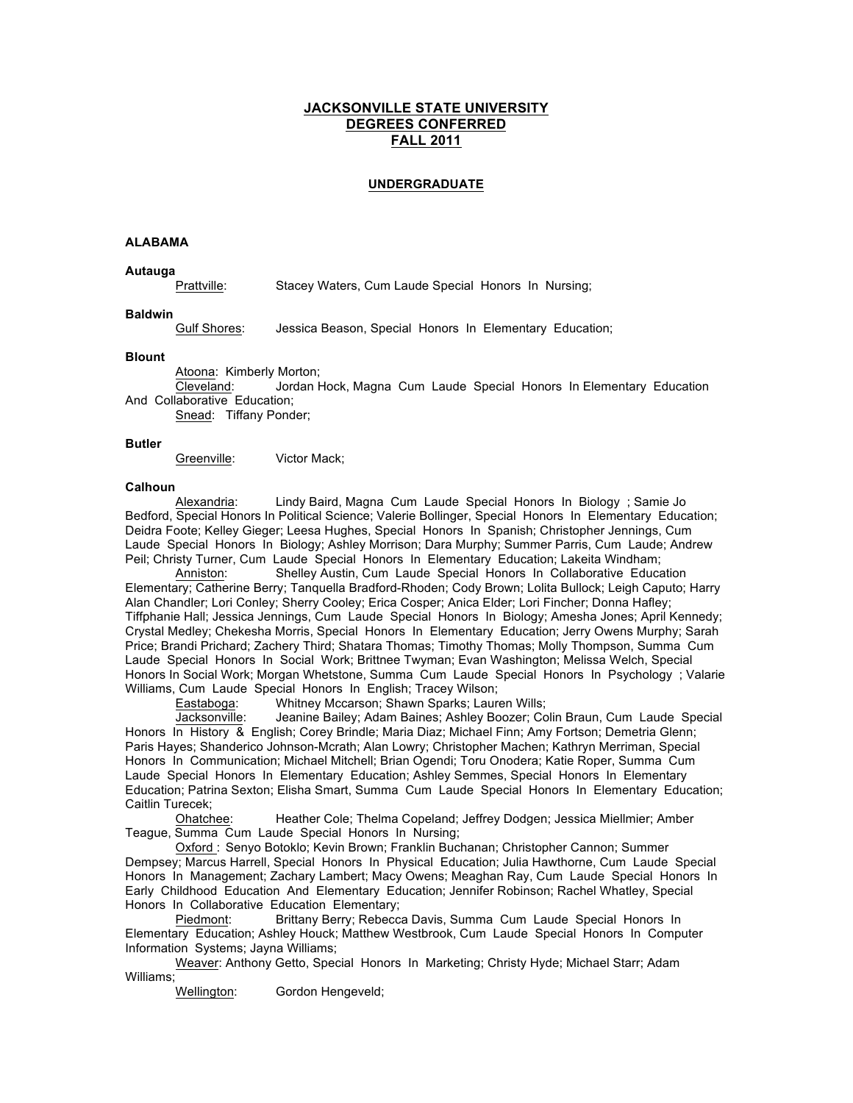# **JACKSONVILLE STATE UNIVERSITY DEGREES CONFERRED FALL 2011**

# **UNDERGRADUATE**

#### **ALABAMA**

**Autauga** Prattville: Stacey Waters, Cum Laude Special Honors In Nursing;

## **Baldwin**

Gulf Shores: Jessica Beason, Special Honors In Elementary Education;

#### **Blount**

Atoona: Kimberly Morton;

Cleveland: Jordan Hock, Magna Cum Laude Special Honors In Elementary Education And Collaborative Education;

Snead: Tiffany Ponder;

#### **Butler**

Greenville: Victor Mack;

#### **Calhoun**

Alexandria: Lindy Baird, Magna Cum Laude Special Honors In Biology ; Samie Jo Bedford, Special Honors In Political Science; Valerie Bollinger, Special Honors In Elementary Education; Deidra Foote; Kelley Gieger; Leesa Hughes, Special Honors In Spanish; Christopher Jennings, Cum Laude Special Honors In Biology; Ashley Morrison; Dara Murphy; Summer Parris, Cum Laude; Andrew Peil; Christy Turner, Cum Laude Special Honors In Elementary Education; Lakeita Windham;

Anniston: Shelley Austin, Cum Laude Special Honors In Collaborative Education Elementary; Catherine Berry; Tanquella Bradford-Rhoden; Cody Brown; Lolita Bullock; Leigh Caputo; Harry Alan Chandler; Lori Conley; Sherry Cooley; Erica Cosper; Anica Elder; Lori Fincher; Donna Hafley; Tiffphanie Hall; Jessica Jennings, Cum Laude Special Honors In Biology; Amesha Jones; April Kennedy; Crystal Medley; Chekesha Morris, Special Honors In Elementary Education; Jerry Owens Murphy; Sarah Price; Brandi Prichard; Zachery Third; Shatara Thomas; Timothy Thomas; Molly Thompson, Summa Cum Laude Special Honors In Social Work; Brittnee Twyman; Evan Washington; Melissa Welch, Special Honors In Social Work; Morgan Whetstone, Summa Cum Laude Special Honors In Psychology ; Valarie Williams, Cum Laude Special Honors In English; Tracey Wilson;

Eastaboga: Whitney Mccarson; Shawn Sparks; Lauren Wills;

Jacksonville: Jeanine Bailey; Adam Baines; Ashley Boozer; Colin Braun, Cum Laude Special Honors In History & English; Corey Brindle; Maria Diaz; Michael Finn; Amy Fortson; Demetria Glenn; Paris Hayes; Shanderico Johnson-Mcrath; Alan Lowry; Christopher Machen; Kathryn Merriman, Special Honors In Communication; Michael Mitchell; Brian Ogendi; Toru Onodera; Katie Roper, Summa Cum Laude Special Honors In Elementary Education; Ashley Semmes, Special Honors In Elementary Education; Patrina Sexton; Elisha Smart, Summa Cum Laude Special Honors In Elementary Education; Caitlin Turecek;

Ohatchee: Heather Cole; Thelma Copeland; Jeffrey Dodgen; Jessica Miellmier; Amber Teague, Summa Cum Laude Special Honors In Nursing;

Oxford : Senyo Botoklo; Kevin Brown; Franklin Buchanan; Christopher Cannon; Summer Dempsey; Marcus Harrell, Special Honors In Physical Education; Julia Hawthorne, Cum Laude Special Honors In Management; Zachary Lambert; Macy Owens; Meaghan Ray, Cum Laude Special Honors In Early Childhood Education And Elementary Education; Jennifer Robinson; Rachel Whatley, Special Honors In Collaborative Education Elementary;

Piedmont: Brittany Berry; Rebecca Davis, Summa Cum Laude Special Honors In Elementary Education; Ashley Houck; Matthew Westbrook, Cum Laude Special Honors In Computer Information Systems; Jayna Williams;

Weaver: Anthony Getto, Special Honors In Marketing; Christy Hyde; Michael Starr; Adam Williams;

Wellington: Gordon Hengeveld;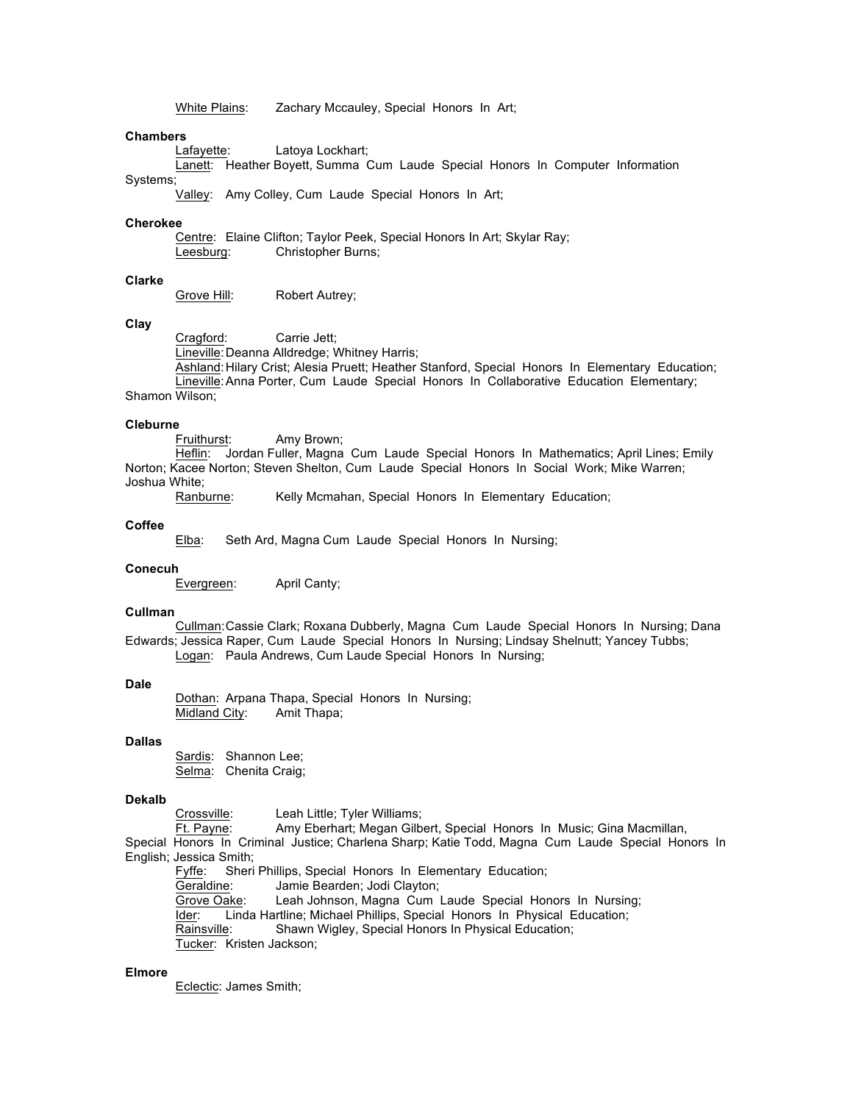White Plains: Zachary Mccauley, Special Honors In Art;

# **Chambers**

Lafayette: Latoya Lockhart;

Lanett: Heather Boyett, Summa Cum Laude Special Honors In Computer Information Systems;

Valley: Amy Colley, Cum Laude Special Honors In Art;

#### **Cherokee**

Centre: Elaine Clifton; Taylor Peek, Special Honors In Art; Skylar Ray; Leesburg: Christopher Burns;

# **Clarke**

Grove Hill: Robert Autrey;

#### **Clay**

Cragford: Carrie Jett; Lineville:Deanna Alldredge; Whitney Harris; Ashland:Hilary Crist; Alesia Pruett; Heather Stanford, Special Honors In Elementary Education; Lineville:Anna Porter, Cum Laude Special Honors In Collaborative Education Elementary; Shamon Wilson;

#### **Cleburne**

Fruithurst: Amy Brown;

Heflin: Jordan Fuller, Magna Cum Laude Special Honors In Mathematics; April Lines; Emily Norton; Kacee Norton; Steven Shelton, Cum Laude Special Honors In Social Work; Mike Warren; Joshua White;

Ranburne: Kelly Mcmahan, Special Honors In Elementary Education;

#### **Coffee**

Elba: Seth Ard, Magna Cum Laude Special Honors In Nursing;

#### **Conecuh**

Evergreen: April Canty;

# **Cullman**

Cullman:Cassie Clark; Roxana Dubberly, Magna Cum Laude Special Honors In Nursing; Dana Edwards; Jessica Raper, Cum Laude Special Honors In Nursing; Lindsay Shelnutt; Yancey Tubbs; Logan: Paula Andrews, Cum Laude Special Honors In Nursing;

#### **Dale**

Dothan: Arpana Thapa, Special Honors In Nursing; Midland City: Amit Thapa;

## **Dallas**

Sardis: Shannon Lee; Selma: Chenita Craig;

#### **Dekalb**

Crossville: Leah Little; Tyler Williams;<br>Ft. Payne: Amy Eberhart; Megan Gilb Amy Eberhart; Megan Gilbert, Special Honors In Music; Gina Macmillan, Special Honors In Criminal Justice; Charlena Sharp; Katie Todd, Magna Cum Laude Special Honors In English; Jessica Smith;

Fyffe: Sheri Phillips, Special Honors In Elementary Education;

Geraldine: Jamie Bearden; Jodi Clayton;

Grove Oake: Leah Johnson, Magna Cum Laude Special Honors In Nursing; Ider: Linda Hartline; Michael Phillips, Special Honors In Physical Education; Rainsville: Shawn Wigley, Special Honors In Physical Education; Tucker: Kristen Jackson;

# **Elmore**

Eclectic: James Smith;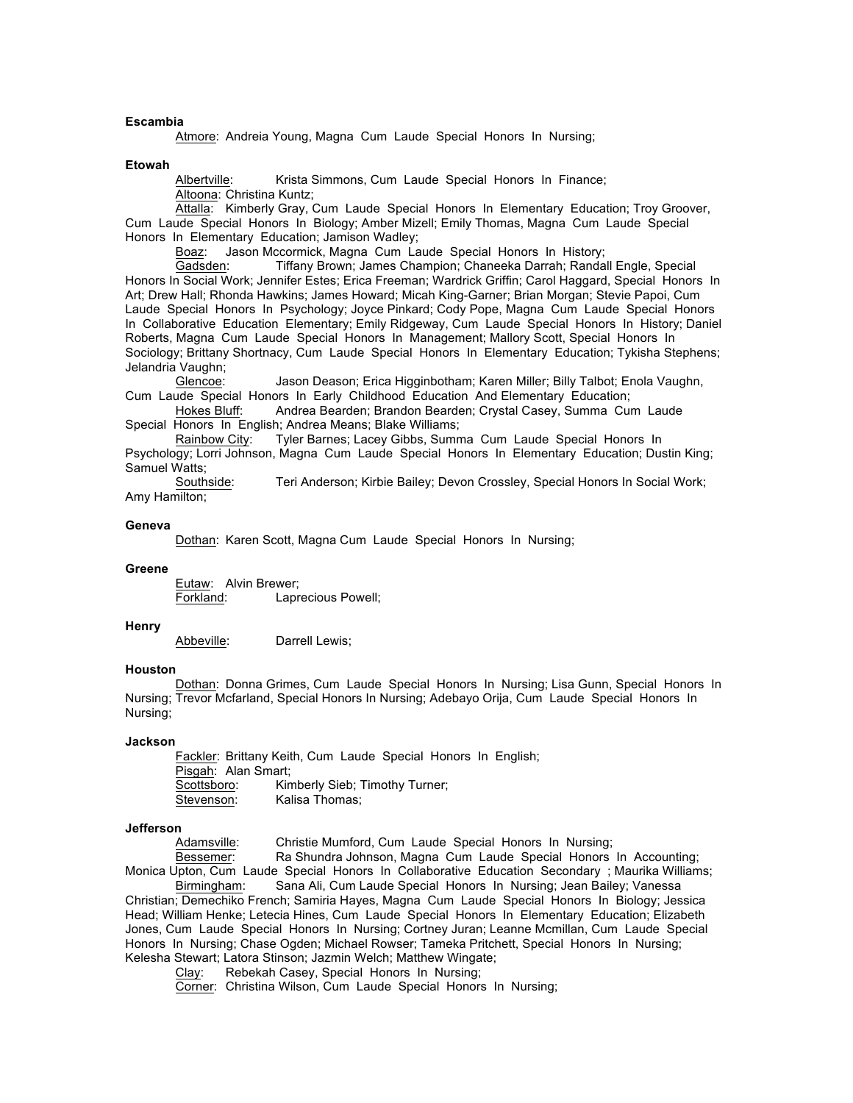## **Escambia**

Atmore: Andreia Young, Magna Cum Laude Special Honors In Nursing;

#### **Etowah**

Albertville: Krista Simmons, Cum Laude Special Honors In Finance; Altoona: Christina Kuntz;

Attalla: Kimberly Gray, Cum Laude Special Honors In Elementary Education; Troy Groover, Cum Laude Special Honors In Biology; Amber Mizell; Emily Thomas, Magna Cum Laude Special Honors In Elementary Education; Jamison Wadley;

Boaz: Jason Mccormick, Magna Cum Laude Special Honors In History;

Gadsden: Tiffany Brown; James Champion; Chaneeka Darrah; Randall Engle, Special Honors In Social Work; Jennifer Estes; Erica Freeman; Wardrick Griffin; Carol Haggard, Special Honors In Art; Drew Hall; Rhonda Hawkins; James Howard; Micah King-Garner; Brian Morgan; Stevie Papoi, Cum Laude Special Honors In Psychology; Joyce Pinkard; Cody Pope, Magna Cum Laude Special Honors In Collaborative Education Elementary; Emily Ridgeway, Cum Laude Special Honors In History; Daniel Roberts, Magna Cum Laude Special Honors In Management; Mallory Scott, Special Honors In Sociology; Brittany Shortnacy, Cum Laude Special Honors In Elementary Education; Tykisha Stephens; Jelandria Vaughn;

Glencoe: Jason Deason; Erica Higginbotham; Karen Miller; Billy Talbot; Enola Vaughn, Cum Laude Special Honors In Early Childhood Education And Elementary Education;

Hokes Bluff: Andrea Bearden; Brandon Bearden; Crystal Casey, Summa Cum Laude Special Honors In English; Andrea Means; Blake Williams;<br>Rainbow City: Tyler Barnes; Lacey Gibbs, Sumn

Tyler Barnes; Lacey Gibbs, Summa Cum Laude Special Honors In Psychology; Lorri Johnson, Magna Cum Laude Special Honors In Elementary Education; Dustin King; Samuel Watts;

Southside: Teri Anderson; Kirbie Bailey; Devon Crossley, Special Honors In Social Work; Amy Hamilton;

#### **Geneva**

Dothan: Karen Scott, Magna Cum Laude Special Honors In Nursing;

#### **Greene**

Eutaw: Alvin Brewer; Forkland: Laprecious Powell;

#### **Henry**

Abbeville: Darrell Lewis;

#### **Houston**

Dothan: Donna Grimes, Cum Laude Special Honors In Nursing; Lisa Gunn, Special Honors In Nursing; Trevor Mcfarland, Special Honors In Nursing; Adebayo Orija, Cum Laude Special Honors In Nursing;

#### **Jackson**

Fackler: Brittany Keith, Cum Laude Special Honors In English; Pisgah: Alan Smart; Scottsboro: Kimberly Sieb; Timothy Turner; Stevenson: Kalisa Thomas;

#### **Jefferson**

Adamsville: Christie Mumford, Cum Laude Special Honors In Nursing;

Bessemer: Ra Shundra Johnson, Magna Cum Laude Special Honors In Accounting; Monica Upton, Cum Laude Special Honors In Collaborative Education Secondary ; Maurika Williams;

Birmingham: Sana Ali, Cum Laude Special Honors In Nursing; Jean Bailey; Vanessa Christian; Demechiko French; Samiria Hayes, Magna Cum Laude Special Honors In Biology; Jessica Head; William Henke; Letecia Hines, Cum Laude Special Honors In Elementary Education; Elizabeth Jones, Cum Laude Special Honors In Nursing; Cortney Juran; Leanne Mcmillan, Cum Laude Special Honors In Nursing; Chase Ogden; Michael Rowser; Tameka Pritchett, Special Honors In Nursing; Kelesha Stewart; Latora Stinson; Jazmin Welch; Matthew Wingate;

Clay: Rebekah Casey, Special Honors In Nursing;

Corner: Christina Wilson, Cum Laude Special Honors In Nursing;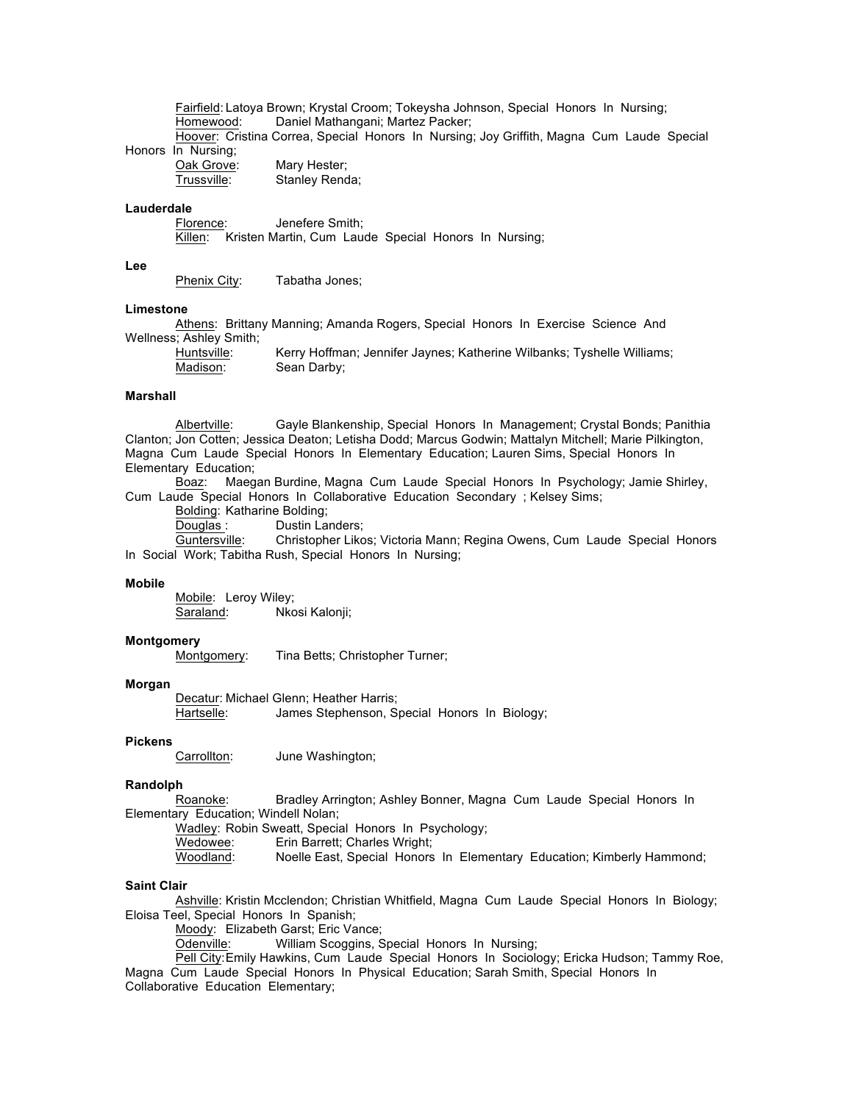Fairfield: Latoya Brown; Krystal Croom; Tokeysha Johnson, Special Honors In Nursing; Homewood: Daniel Mathangani; Martez Packer;

Hoover: Cristina Correa, Special Honors In Nursing; Joy Griffith, Magna Cum Laude Special Honors In Nursing;

| Oak Grove:  | Mary Hester;   |
|-------------|----------------|
| Trussville: | Stanley Renda; |

# **Lauderdale**

Florence: Jenefere Smith; Killen: Kristen Martin, Cum Laude Special Honors In Nursing;

## **Lee**

Phenix City: Tabatha Jones;

## **Limestone**

Athens: Brittany Manning; Amanda Rogers, Special Honors In Exercise Science And Wellness; Ashley Smith;

| Huntsville: | Kerry Hoffman; Jennifer Jaynes; Katherine Wilbanks; Tyshelle Williams; |
|-------------|------------------------------------------------------------------------|
| Madison:    | Sean Darby;                                                            |

### **Marshall**

Albertville: Gayle Blankenship, Special Honors In Management; Crystal Bonds; Panithia Clanton; Jon Cotten; Jessica Deaton; Letisha Dodd; Marcus Godwin; Mattalyn Mitchell; Marie Pilkington, Magna Cum Laude Special Honors In Elementary Education; Lauren Sims, Special Honors In Elementary Education;

Boaz: Maegan Burdine, Magna Cum Laude Special Honors In Psychology; Jamie Shirley, Cum Laude Special Honors In Collaborative Education Secondary ; Kelsey Sims;

Bolding: Katharine Bolding;

Douglas: Dustin Landers;

Guntersville: Christopher Likos; Victoria Mann; Regina Owens, Cum Laude Special Honors In Social Work; Tabitha Rush, Special Honors In Nursing;

#### **Mobile**

Mobile: Leroy Wiley;<br>Saraland: Nko Nkosi Kalonji;

## **Montgomery**

Montgomery: Tina Betts; Christopher Turner;

#### **Morgan**

Decatur: Michael Glenn; Heather Harris; Hartselle: James Stephenson, Special Honors In Biology;

#### **Pickens**

Carrollton: June Washington;

#### **Randolph**

Roanoke: Bradley Arrington; Ashley Bonner, Magna Cum Laude Special Honors In Elementary Education; Windell Nolan;

Wadley: Robin Sweatt, Special Honors In Psychology;

Wedowee: Erin Barrett; Charles Wright;<br>Woodland: Noelle East, Special Honors Noelle East, Special Honors In Elementary Education; Kimberly Hammond;

#### **Saint Clair**

Ashville: Kristin Mcclendon; Christian Whitfield, Magna Cum Laude Special Honors In Biology; Eloisa Teel, Special Honors In Spanish;

Moody: Elizabeth Garst; Eric Vance;

Odenville: William Scoggins, Special Honors In Nursing;

Pell City:Emily Hawkins, Cum Laude Special Honors In Sociology; Ericka Hudson; Tammy Roe, Magna Cum Laude Special Honors In Physical Education; Sarah Smith, Special Honors In

Collaborative Education Elementary;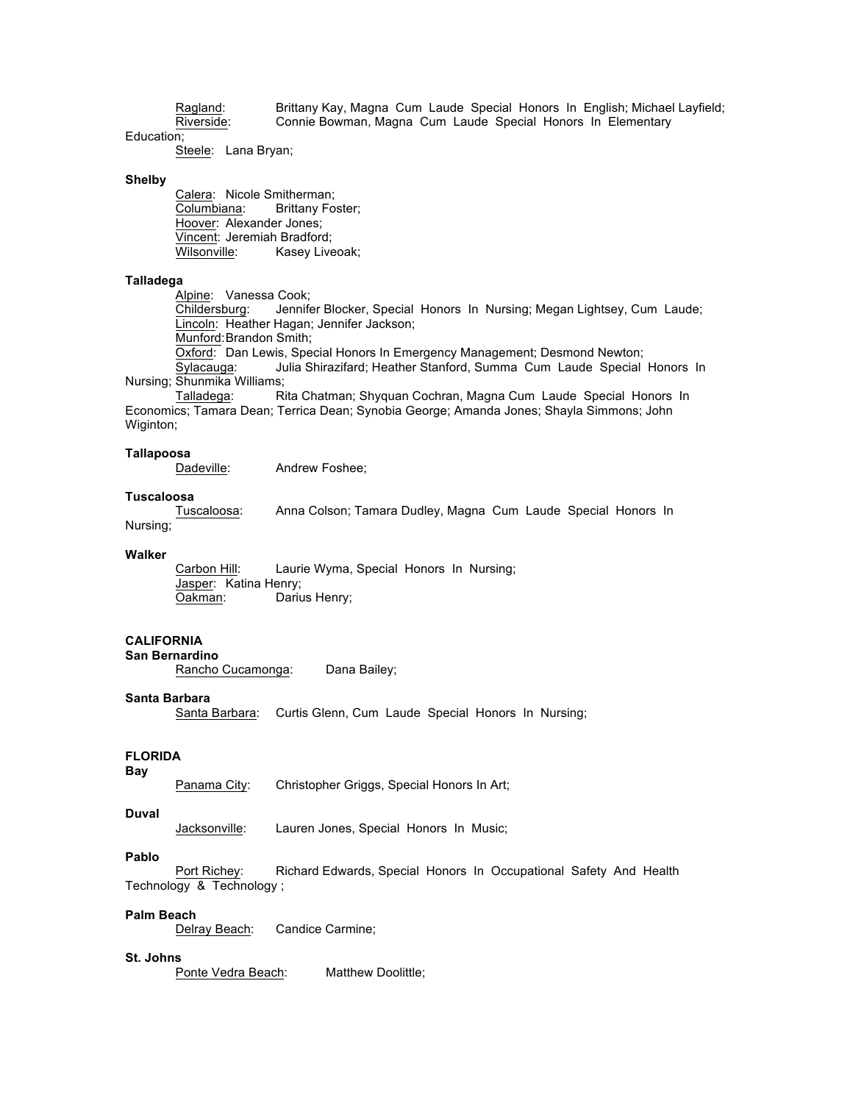Ragland: Brittany Kay, Magna Cum Laude Special Honors In English; Michael Layfield;<br>Riverside: Connie Bowman, Magna Cum Laude Special Honors In Elementary Connie Bowman, Magna Cum Laude Special Honors In Elementary

Steele: Lana Bryan;

#### **Shelby**

Education;

Calera: Nicole Smitherman;<br>Columbiana: Brittany For Brittany Foster; Hoover: Alexander Jones; Vincent: Jeremiah Bradford;<br>Wilsonville: Kasey Live Kasey Liveoak;

# **Talladega**

Alpine: Vanessa Cook;

Childersburg: Jennifer Blocker, Special Honors In Nursing; Megan Lightsey, Cum Laude; Lincoln: Heather Hagan; Jennifer Jackson;

Munford:Brandon Smith;

Oxford: Dan Lewis, Special Honors In Emergency Management; Desmond Newton;

Sylacauga: Julia Shirazifard; Heather Stanford, Summa Cum Laude Special Honors In Nursing; Shunmika Williams;

Talladega: Rita Chatman; Shyquan Cochran, Magna Cum Laude Special Honors In Economics; Tamara Dean; Terrica Dean; Synobia George; Amanda Jones; Shayla Simmons; John Wiginton;

## **Tallapoosa**

Dadeville: Andrew Foshee;

#### **Tuscaloosa**

Tuscaloosa: Anna Colson; Tamara Dudley, Magna Cum Laude Special Honors In Nursing;

#### **Walker**

Carbon Hill: Laurie Wyma, Special Honors In Nursing; Jasper: Katina Henry; Oakman: Darius Henry;

## **CALIFORNIA**

**San Bernardino**

Rancho Cucamonga: Dana Bailey;

# **Santa Barbara**

Santa Barbara: Curtis Glenn, Cum Laude Special Honors In Nursing;

# **FLORIDA**

**Bay**

Panama City: Christopher Griggs, Special Honors In Art;

## **Duval**

Jacksonville: Lauren Jones, Special Honors In Music;

#### **Pablo**

Port Richey: Richard Edwards, Special Honors In Occupational Safety And Health Technology & Technology ;

## **Palm Beach**

Delray Beach: Candice Carmine;

# **St. Johns**

Ponte Vedra Beach: Matthew Doolittle;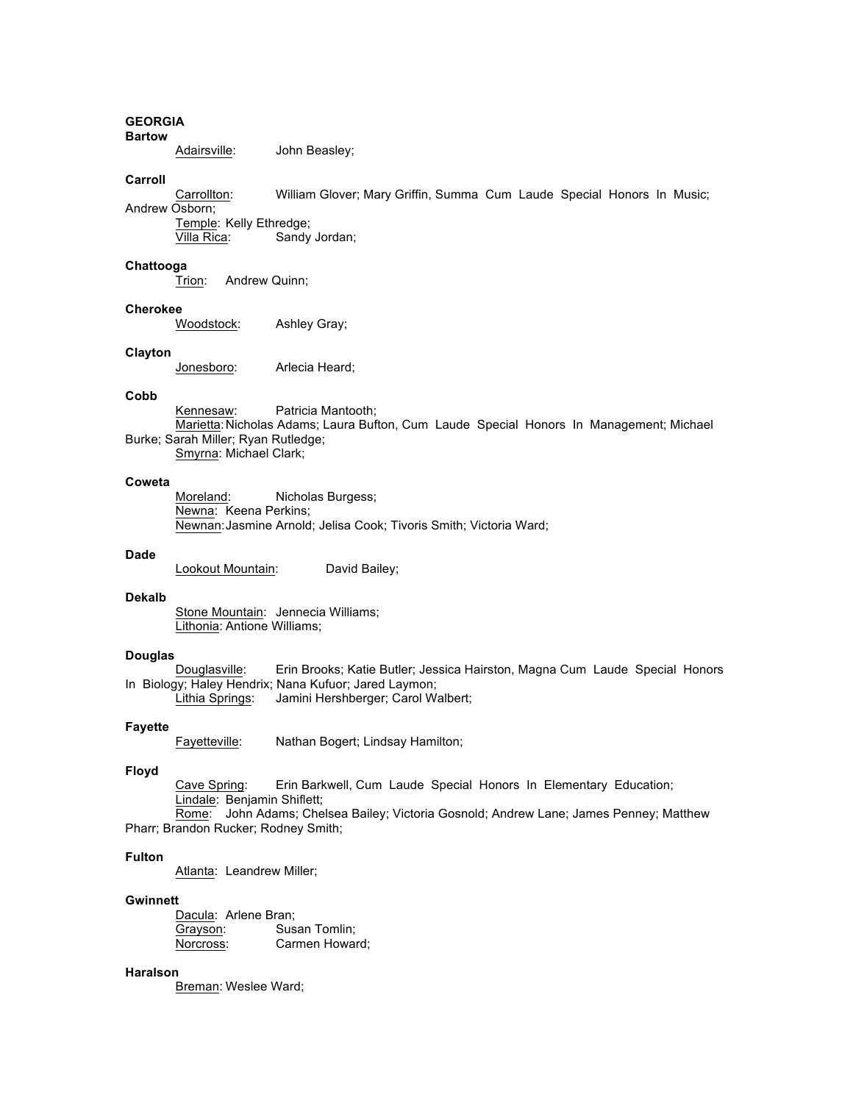#### **GEORGIA Bartow**

Adairsville: John Beasley;

#### **Carroll**

Carrollton: William Glover; Mary Griffin, Summa Cum Laude Special Honors In Music; Andrew Osborn;

Temple: Kelly Ethredge;<br>Villa Rica: Sandy Sandy Jordan;

#### **Chattooga**

Trion: Andrew Quinn;

## **Cherokee**

Woodstock: Ashley Gray;

#### **Clayton**

Jonesboro: Arlecia Heard;

# **Cobb**

Kennesaw: Patricia Mantooth; Marietta: Nicholas Adams; Laura Bufton, Cum Laude Special Honors In Management; Michael Burke; Sarah Miller; Ryan Rutledge; Smyrna: Michael Clark;

# **Coweta**

Moreland: Nicholas Burgess; Newna: Keena Perkins; Newnan:Jasmine Arnold; Jelisa Cook; Tivoris Smith; Victoria Ward;

#### **Dade**

Lookout Mountain: David Bailey;

## **Dekalb**

Stone Mountain: Jennecia Williams; Lithonia: Antione Williams;

## **Douglas**

Douglasville: Erin Brooks; Katie Butler; Jessica Hairston, Magna Cum Laude Special Honors In Biology; Haley Hendrix; Nana Kufuor; Jared Laymon;

Lithia Springs: Jamini Hershberger; Carol Walbert;

# **Fayette**

Fayetteville: Nathan Bogert; Lindsay Hamilton;

## **Floyd**

Cave Spring: Erin Barkwell, Cum Laude Special Honors In Elementary Education; Lindale: Benjamin Shiflett;

Rome: John Adams; Chelsea Bailey; Victoria Gosnold; Andrew Lane; James Penney; Matthew Pharr; Brandon Rucker; Rodney Smith;

# **Fulton**

Atlanta: Leandrew Miller;

#### **Gwinnett**

Dacula: Arlene Bran; Grayson: Susan Tomlin; Norcross: Carmen Howard;

# **Haralson**

Breman: Weslee Ward;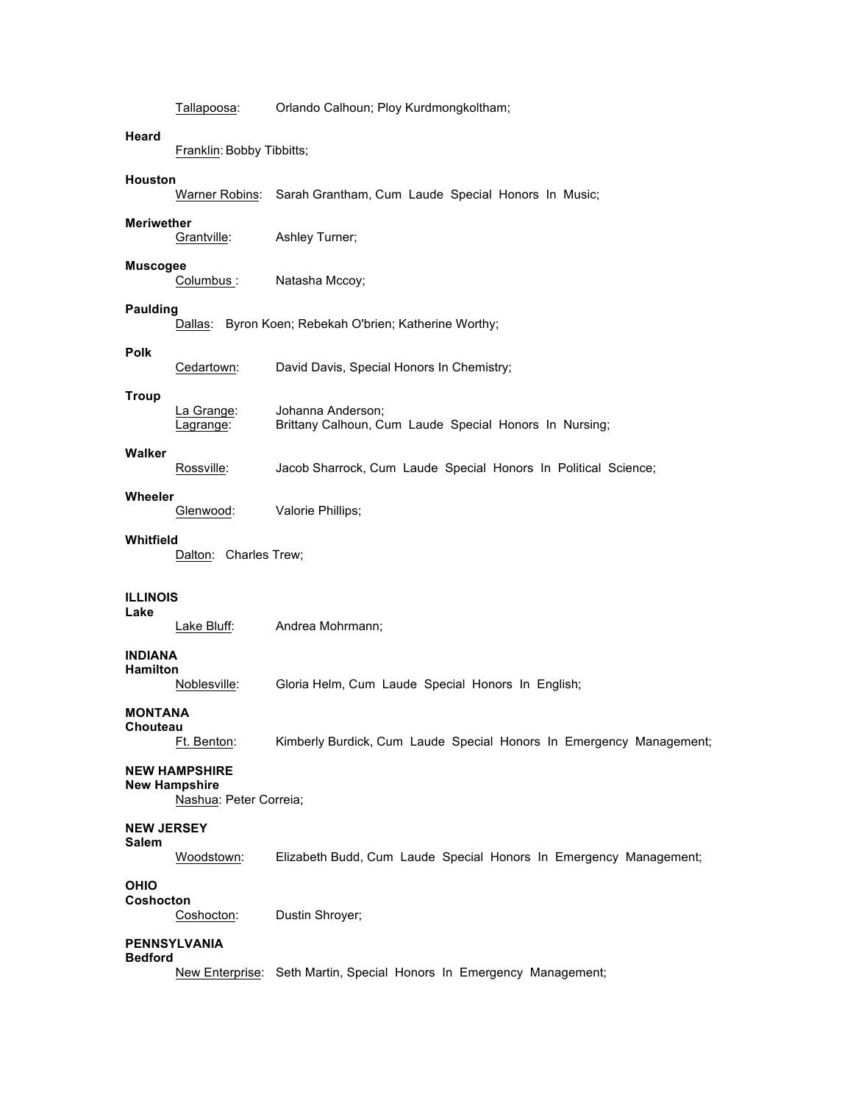Tallapoosa: Orlando Calhoun; Ploy Kurdmongkoltham;

# **Heard**

Franklin: Bobby Tibbitts;

# **Houston**

Warner Robins: Sarah Grantham, Cum Laude Special Honors In Music;

**Meriwether** Ashley Turner;

#### **Muscogee**

Columbus: Natasha Mccoy;

# **Paulding**

Dallas: Byron Koen; Rebekah O'brien; Katherine Worthy;

#### **Polk**

|              | Cedartown: | David Davis, Special Honors In Chemistry; |
|--------------|------------|-------------------------------------------|
| <b>Troup</b> |            |                                           |

| La Grange:        | Johanna Anderson;                                      |
|-------------------|--------------------------------------------------------|
| <u>Lagrange</u> : | Brittany Calhoun, Cum Laude Special Honors In Nursing; |

# **Walker**

Rossville: Jacob Sharrock, Cum Laude Special Honors In Political Science;

# **Wheeler**

Glenwood: Valorie Phillips;

#### **Whitfield**

Dalton: Charles Trew;

# **ILLINOIS**

**Lake**

Lake Bluff: Andrea Mohrmann;

#### **INDIANA Hamilton**

Noblesville: Gloria Helm, Cum Laude Special Honors In English;

# **MONTANA**

**Chouteau**

Ft. Benton: Kimberly Burdick, Cum Laude Special Honors In Emergency Management;

## **NEW HAMPSHIRE**

#### **New Hampshire**

Nashua: Peter Correia;

## **NEW JERSEY**

# **Salem**

Woodstown: Elizabeth Budd, Cum Laude Special Honors In Emergency Management;

# **OHIO**

**Coshocton** Coshocton: Dustin Shroyer;

# **PENNSYLVANIA**

# **Bedford**

New Enterprise: Seth Martin, Special Honors In Emergency Management;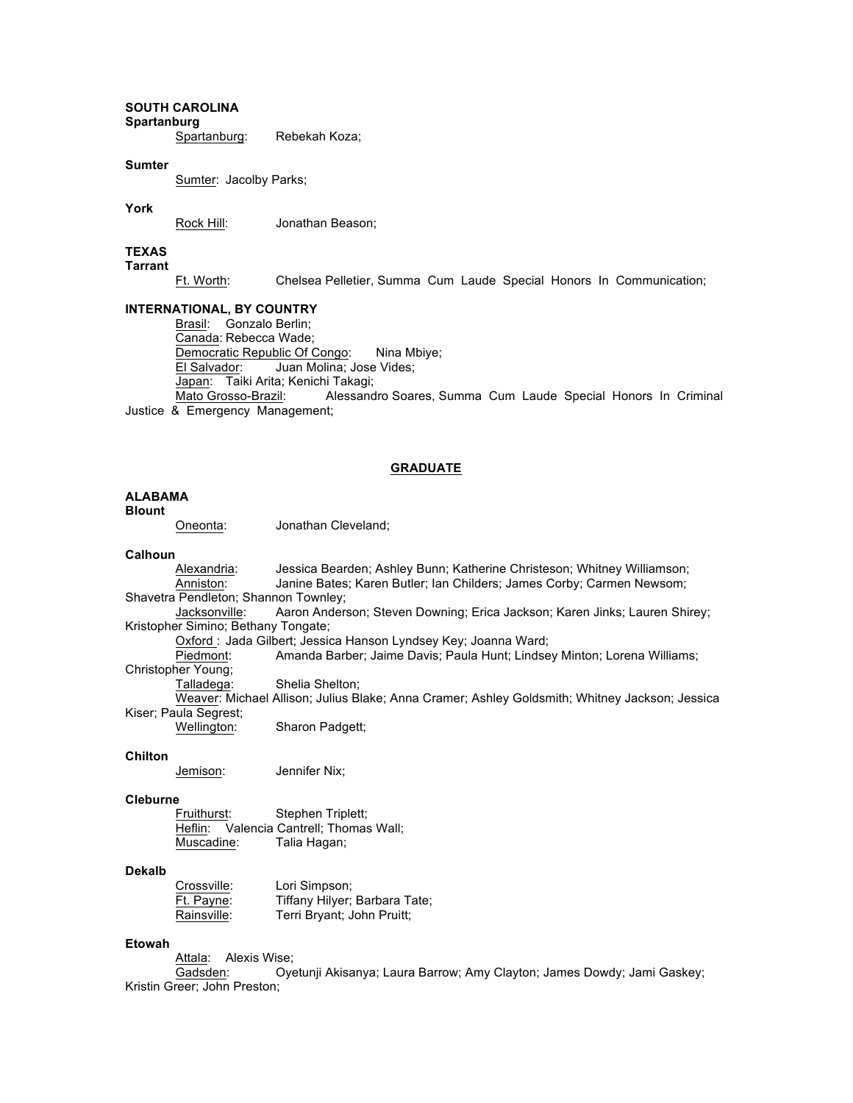# **SOUTH CAROLINA Spartanburg**

Spartanburg: Rebekah Koza;

#### **Sumter**

Sumter: Jacolby Parks;

#### **York**

Rock Hill: Jonathan Beason;

# **TEXAS**

**Tarrant**

Ft. Worth: Chelsea Pelletier, Summa Cum Laude Special Honors In Communication;

#### **INTERNATIONAL, BY COUNTRY**

Brasil: Gonzalo Berlin; Canada: Rebecca Wade; Democratic Republic Of Congo: Nina Mbiye; El Salvador: Juan Molina; Jose Vides; Japan: Taiki Arita; Kenichi Takagi; Mato Grosso-Brazil: Alessandro Soares, Summa Cum Laude Special Honors In Criminal Justice & Emergency Management;

## **GRADUATE**

# **ALABAMA**

#### **Blount**

Oneonta: Jonathan Cleveland;

#### **Calhoun**

Alexandria: Jessica Bearden; Ashley Bunn; Katherine Christeson; Whitney Williamson; Anniston: Janine Bates; Karen Butler; Ian Childers; James Corby; Carmen Newsom; Shavetra Pendleton; Shannon Townley;<br>Jacksonville: Aaron Anders Aaron Anderson; Steven Downing; Erica Jackson; Karen Jinks; Lauren Shirey;

Kristopher Simino; Bethany Tongate;

Oxford : Jada Gilbert; Jessica Hanson Lyndsey Key; Joanna Ward;

Piedmont: Amanda Barber; Jaime Davis; Paula Hunt; Lindsey Minton; Lorena Williams;

Christopher Young;

Talladega: Shelia Shelton;

Weaver: Michael Allison; Julius Blake; Anna Cramer; Ashley Goldsmith; Whitney Jackson; Jessica Kiser; Paula Segrest;

Sharon Padgett;

#### **Chilton**

Jemison: Jennifer Nix;

#### **Cleburne**

**Fruithurst:** Stephen Triplett;<br>
Heflin: Valencia Cantrell; Thomas Valencia Cantrell; Thomas Wall; Muscadine: Talia Hagan;

# **Dekalb**

| Crossville: | Lori Simpson;                 |
|-------------|-------------------------------|
| Ft. Payne:  | Tiffany Hilyer; Barbara Tate; |
| Rainsville: | Terri Bryant; John Pruitt;    |

## **Etowah**

Attala: Alexis Wise; Gadsden: Oyetunji Akisanya; Laura Barrow; Amy Clayton; James Dowdy; Jami Gaskey; Kristin Greer; John Preston;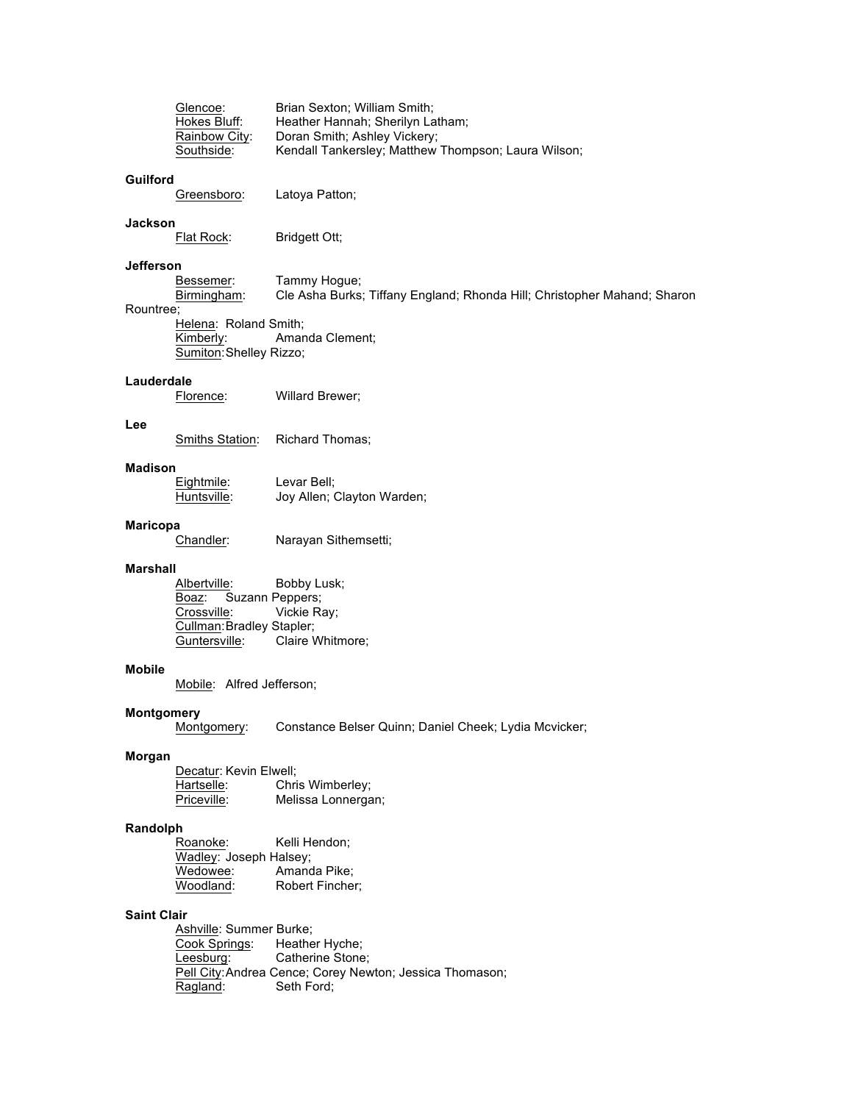| Glencoe:      | Brian Sexton: William Smith:                        |
|---------------|-----------------------------------------------------|
| Hokes Bluff:  | Heather Hannah; Sherilyn Latham;                    |
| Rainbow City: | Doran Smith; Ashley Vickery;                        |
| Southside:    | Kendall Tankersley; Matthew Thompson; Laura Wilson; |

# **Guilford**

Greensboro: Latoya Patton;

**Jackson** Bridgett Ott;

# **Jefferson**

Bessemer: Tammy Hogue; Birmingham: Cle Asha Burks; Tiffany England; Rhonda Hill; Christopher Mahand; Sharon Rountree; Helena: Roland Smith;

Kimberly: Amanda Clement; Sumiton:Shelley Rizzo;

## **Lauderdale**

Florence: Willard Brewer;

## **Lee**

Smiths Station: Richard Thomas;

# **Madison**

Eightmile: Levar Bell;<br>
Huntsville: Joy Allen; 0 Joy Allen; Clayton Warden;

#### **Maricopa**

Chandler: Narayan Sithemsetti;

#### **Marshall**

Albertville: Bobby Lusk; Boaz: Suzann Peppers;<br>Crossville: Vickie Ra Vickie Ray; Cullman: Bradley Stapler; Guntersville: Claire Whitmore;

#### **Mobile**

Mobile: Alfred Jefferson;

# **Montgomery**

Montgomery: Constance Belser Quinn; Daniel Cheek; Lydia Mcvicker;

# **Morgan**

Decatur: Kevin Elwell;<br>Hartselle: Chri Hartselle: Chris Wimberley;<br>
Priceville: Melissa Lonnerga Melissa Lonnergan;

# **Randolph**

| Roanoke:               | Kelli Hendon:   |
|------------------------|-----------------|
| Wadley: Joseph Halsey; |                 |
| Wedowee:               | Amanda Pike:    |
| Woodland:              | Robert Fincher; |

#### **Saint Clair**

Ashville: Summer Burke; Cook Springs: Heather Hyche; Leesburg: Catherine Stone; Pell City:Andrea Cence; Corey Newton; Jessica Thomason;<br>Ragland: Seth Ford; Seth Ford;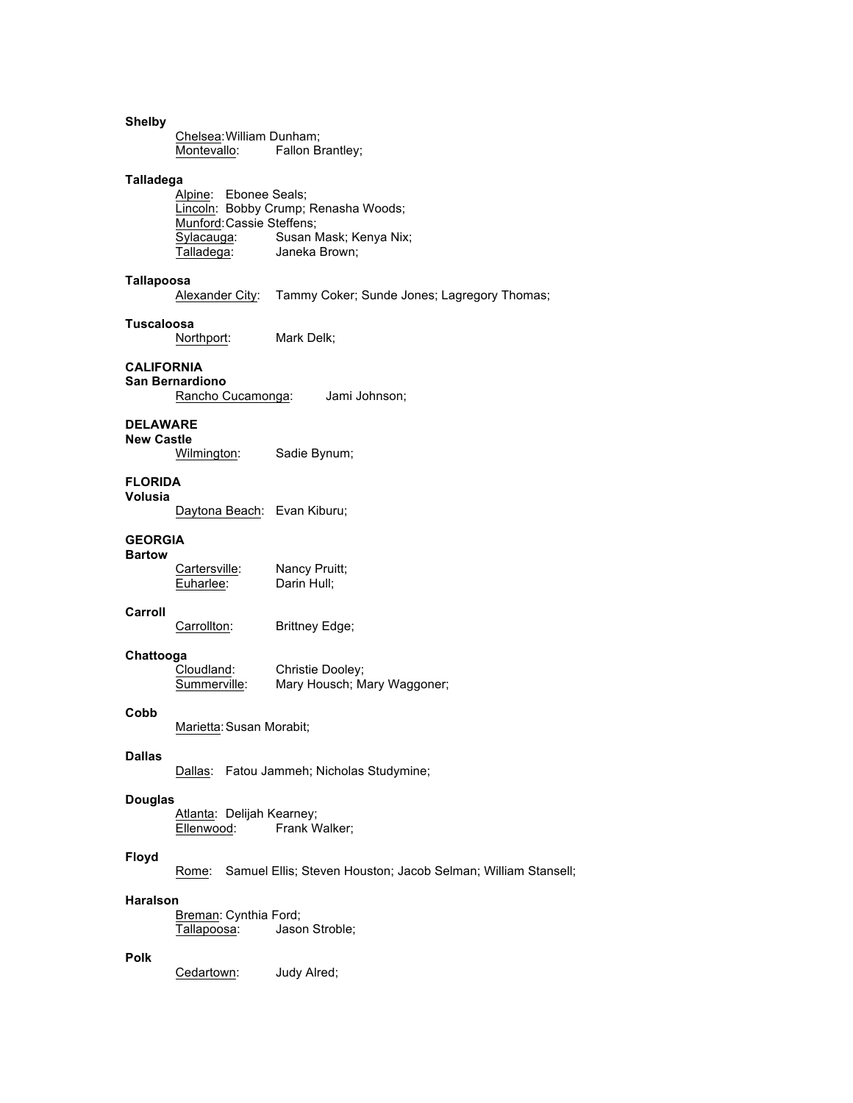# **Shelby** Chelsea:William Dunham; Montevallo: Fallon Brantley; **Talladega** Alpine: Ebonee Seals; Lincoln: Bobby Crump; Renasha Woods; Munford:Cassie Steffens; Sylacauga: Susan Mask; Kenya Nix;<br>Talladega: Janeka Brown; Janeka Brown; **Tallapoosa** Alexander City: Tammy Coker; Sunde Jones; Lagregory Thomas; **Tuscaloosa** Northport: Mark Delk; **CALIFORNIA San Bernardiono** Rancho Cucamonga: Jami Johnson; **DELAWARE New Castle** Sadie Bynum; **FLORIDA Volusia** Daytona Beach: Evan Kiburu; **GEORGIA Bartow** Cartersville: Nancy Pruitt; Euharlee: Darin Hull; **Carroll** Carrollton: Brittney Edge; **Chattooga** Cloudland: Christie Dooley;<br>Summerville: Mary Housch; M. Mary Housch; Mary Waggoner; **Cobb** Marietta:Susan Morabit; **Dallas** Dallas: Fatou Jammeh; Nicholas Studymine; **Douglas** Atlanta: Delijah Kearney;<br>Ellenwood: Frank W Frank Walker; **Floyd** Rome: Samuel Ellis; Steven Houston; Jacob Selman; William Stansell; **Haralson** Breman: Cynthia Ford; Tallapoosa: Jason Stroble; **Polk** Cedartown: Judy Alred;